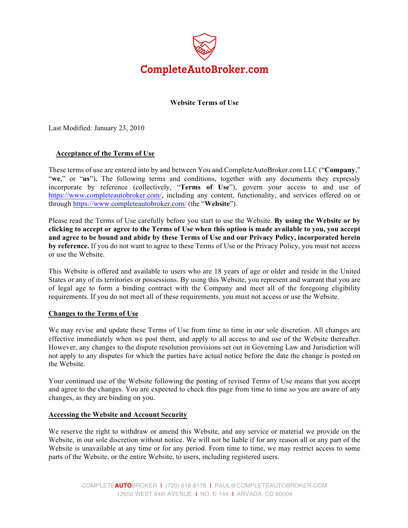

# **Website Terms of Use**

Last Modified: January 23, 2010

# **Acceptance of the Terms of Use**

These terms of use are entered into by and between You and CompleteAutoBroker.com LLC ("**Company**," "**we**," or "**us**")**.** The following terms and conditions, together with any documents they expressly incorporate by reference (collectively, "**Terms of Use**"), govern your access to and use of https://www.completeautobroker.com/, including any content, functionality, and services offered on or through https://www.completeautobroker.com/ (the "**Website**").

Please read the Terms of Use carefully before you start to use the Website. **By using the Website or by clicking to accept or agree to the Terms of Use when this option is made available to you, you accept and agree to be bound and abide by these Terms of Use and our Privacy Policy, incorporated herein by reference.** If you do not want to agree to these Terms of Use or the Privacy Policy, you must not access or use the Website.

This Website is offered and available to users who are 18 years of age or older and reside in the United States or any of its territories or possessions. By using this Website, you represent and warrant that you are of legal age to form a binding contract with the Company and meet all of the foregoing eligibility requirements. If you do not meet all of these requirements, you must not access or use the Website.

## **Changes to the Terms of Use**

We may revise and update these Terms of Use from time to time in our sole discretion. All changes are effective immediately when we post them, and apply to all access to and use of the Website thereafter. However, any changes to the dispute resolution provisions set out in Governing Law and Jurisdiction will not apply to any disputes for which the parties have actual notice before the date the change is posted on the Website.

Your continued use of the Website following the posting of revised Terms of Use means that you accept and agree to the changes. You are expected to check this page from time to time so you are aware of any changes, as they are binding on you.

## **Accessing the Website and Account Security**

We reserve the right to withdraw or amend this Website, and any service or material we provide on the Website, in our sole discretion without notice. We will not be liable if for any reason all or any part of the Website is unavailable at any time or for any period. From time to time, we may restrict access to some parts of the Website, or the entire Website, to users, including registered users.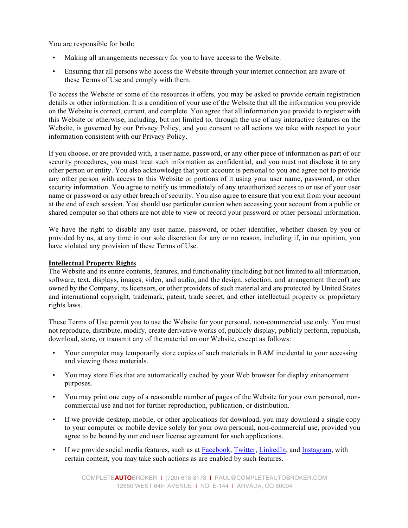You are responsible for both:

- Making all arrangements necessary for you to have access to the Website.
- Ensuring that all persons who access the Website through your internet connection are aware of these Terms of Use and comply with them.

To access the Website or some of the resources it offers, you may be asked to provide certain registration details or other information. It is a condition of your use of the Website that all the information you provide on the Website is correct, current, and complete. You agree that all information you provide to register with this Website or otherwise, including, but not limited to, through the use of any interactive features on the Website, is governed by our Privacy Policy, and you consent to all actions we take with respect to your information consistent with our Privacy Policy.

If you choose, or are provided with, a user name, password, or any other piece of information as part of our security procedures, you must treat such information as confidential, and you must not disclose it to any other person or entity. You also acknowledge that your account is personal to you and agree not to provide any other person with access to this Website or portions of it using your user name, password, or other security information. You agree to notify us immediately of any unauthorized access to or use of your user name or password or any other breach of security. You also agree to ensure that you exit from your account at the end of each session. You should use particular caution when accessing your account from a public or shared computer so that others are not able to view or record your password or other personal information.

We have the right to disable any user name, password, or other identifier, whether chosen by you or provided by us, at any time in our sole discretion for any or no reason, including if, in our opinion, you have violated any provision of these Terms of Use.

### **Intellectual Property Rights**

The Website and its entire contents, features, and functionality (including but not limited to all information, software, text, displays, images, video, and audio, and the design, selection, and arrangement thereof) are owned by the Company, its licensors, or other providers of such material and are protected by United States and international copyright, trademark, patent, trade secret, and other intellectual property or proprietary rights laws.

These Terms of Use permit you to use the Website for your personal, non-commercial use only. You must not reproduce, distribute, modify, create derivative works of, publicly display, publicly perform, republish, download, store, or transmit any of the material on our Website, except as follows:

- Your computer may temporarily store copies of such materials in RAM incidental to your accessing and viewing those materials.
- You may store files that are automatically cached by your Web browser for display enhancement purposes.
- You may print one copy of a reasonable number of pages of the Website for your own personal, noncommercial use and not for further reproduction, publication, or distribution.
- If we provide desktop, mobile, or other applications for download, you may download a single copy to your computer or mobile device solely for your own personal, non-commercial use, provided you agree to be bound by our end user license agreement for such applications.
- If we provide social media features, such as at Facebook, Twitter, LinkedIn, and Instagram, with certain content, you may take such actions as are enabled by such features.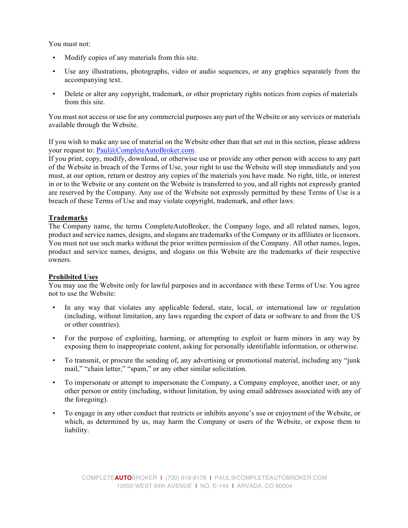You must not:

- Modify copies of any materials from this site.
- Use any illustrations, photographs, video or audio sequences, or any graphics separately from the accompanying text.
- Delete or alter any copyright, trademark, or other proprietary rights notices from copies of materials from this site.

You must not access or use for any commercial purposes any part of the Website or any services or materials available through the Website.

If you wish to make any use of material on the Website other than that set out in this section, please address your request to: Paul@CompleteAutoBroker.com.

If you print, copy, modify, download, or otherwise use or provide any other person with access to any part of the Website in breach of the Terms of Use, your right to use the Website will stop immediately and you must, at our option, return or destroy any copies of the materials you have made. No right, title, or interest in or to the Website or any content on the Website is transferred to you, and all rights not expressly granted are reserved by the Company. Any use of the Website not expressly permitted by these Terms of Use is a breach of these Terms of Use and may violate copyright, trademark, and other laws.

## **Trademarks**

The Company name, the terms CompleteAutoBroker, the Company logo, and all related names, logos, product and service names, designs, and slogans are trademarks of the Company or its affiliates or licensors. You must not use such marks without the prior written permission of the Company. All other names, logos, product and service names, designs, and slogans on this Website are the trademarks of their respective owners.

## **Prohibited Uses**

You may use the Website only for lawful purposes and in accordance with these Terms of Use. You agree not to use the Website:

- In any way that violates any applicable federal, state, local, or international law or regulation (including, without limitation, any laws regarding the export of data or software to and from the US or other countries).
- For the purpose of exploiting, harming, or attempting to exploit or harm minors in any way by exposing them to inappropriate content, asking for personally identifiable information, or otherwise.
- To transmit, or procure the sending of, any advertising or promotional material, including any "junk mail," "chain letter," "spam," or any other similar solicitation.
- To impersonate or attempt to impersonate the Company, a Company employee, another user, or any other person or entity (including, without limitation, by using email addresses associated with any of the foregoing).
- To engage in any other conduct that restricts or inhibits anyone's use or enjoyment of the Website, or which, as determined by us, may harm the Company or users of the Website, or expose them to liability.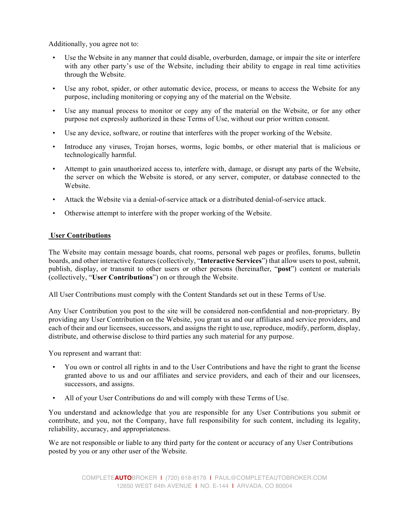Additionally, you agree not to:

- Use the Website in any manner that could disable, overburden, damage, or impair the site or interfere with any other party's use of the Website, including their ability to engage in real time activities through the Website.
- Use any robot, spider, or other automatic device, process, or means to access the Website for any purpose, including monitoring or copying any of the material on the Website.
- Use any manual process to monitor or copy any of the material on the Website, or for any other purpose not expressly authorized in these Terms of Use, without our prior written consent.
- Use any device, software, or routine that interferes with the proper working of the Website.
- Introduce any viruses, Trojan horses, worms, logic bombs, or other material that is malicious or technologically harmful.
- Attempt to gain unauthorized access to, interfere with, damage, or disrupt any parts of the Website, the server on which the Website is stored, or any server, computer, or database connected to the Website.
- Attack the Website via a denial-of-service attack or a distributed denial-of-service attack.
- Otherwise attempt to interfere with the proper working of the Website.

# **User Contributions**

The Website may contain message boards, chat rooms, personal web pages or profiles, forums, bulletin boards, and other interactive features (collectively, "**Interactive Services**") that allow users to post, submit, publish, display, or transmit to other users or other persons (hereinafter, "**post**") content or materials (collectively, "**User Contributions**") on or through the Website.

All User Contributions must comply with the Content Standards set out in these Terms of Use.

Any User Contribution you post to the site will be considered non-confidential and non-proprietary. By providing any User Contribution on the Website, you grant us and our affiliates and service providers, and each of their and our licensees, successors, and assigns the right to use, reproduce, modify, perform, display, distribute, and otherwise disclose to third parties any such material for any purpose.

You represent and warrant that:

- You own or control all rights in and to the User Contributions and have the right to grant the license granted above to us and our affiliates and service providers, and each of their and our licensees, successors, and assigns.
- All of your User Contributions do and will comply with these Terms of Use.

You understand and acknowledge that you are responsible for any User Contributions you submit or contribute, and you, not the Company, have full responsibility for such content, including its legality, reliability, accuracy, and appropriateness.

We are not responsible or liable to any third party for the content or accuracy of any User Contributions posted by you or any other user of the Website.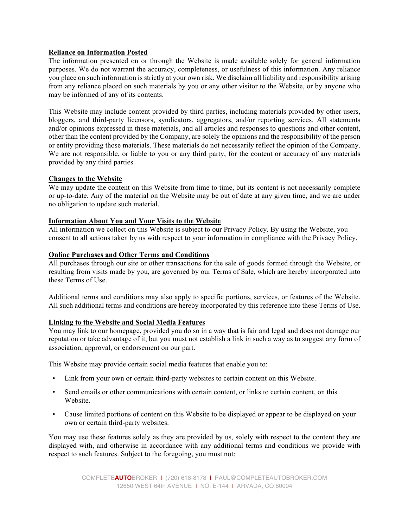## **Reliance on Information Posted**

The information presented on or through the Website is made available solely for general information purposes. We do not warrant the accuracy, completeness, or usefulness of this information. Any reliance you place on such information is strictly at your own risk. We disclaim all liability and responsibility arising from any reliance placed on such materials by you or any other visitor to the Website, or by anyone who may be informed of any of its contents.

This Website may include content provided by third parties, including materials provided by other users, bloggers, and third-party licensors, syndicators, aggregators, and/or reporting services. All statements and/or opinions expressed in these materials, and all articles and responses to questions and other content, other than the content provided by the Company, are solely the opinions and the responsibility of the person or entity providing those materials. These materials do not necessarily reflect the opinion of the Company. We are not responsible, or liable to you or any third party, for the content or accuracy of any materials provided by any third parties.

## **Changes to the Website**

We may update the content on this Website from time to time, but its content is not necessarily complete or up-to-date. Any of the material on the Website may be out of date at any given time, and we are under no obligation to update such material.

### **Information About You and Your Visits to the Website**

All information we collect on this Website is subject to our Privacy Policy. By using the Website, you consent to all actions taken by us with respect to your information in compliance with the Privacy Policy.

### **Online Purchases and Other Terms and Conditions**

All purchases through our site or other transactions for the sale of goods formed through the Website, or resulting from visits made by you, are governed by our Terms of Sale, which are hereby incorporated into these Terms of Use.

Additional terms and conditions may also apply to specific portions, services, or features of the Website. All such additional terms and conditions are hereby incorporated by this reference into these Terms of Use.

#### **Linking to the Website and Social Media Features**

You may link to our homepage, provided you do so in a way that is fair and legal and does not damage our reputation or take advantage of it, but you must not establish a link in such a way as to suggest any form of association, approval, or endorsement on our part.

This Website may provide certain social media features that enable you to:

- Link from your own or certain third-party websites to certain content on this Website.
- Send emails or other communications with certain content, or links to certain content, on this Website.
- Cause limited portions of content on this Website to be displayed or appear to be displayed on your own or certain third-party websites.

You may use these features solely as they are provided by us, solely with respect to the content they are displayed with, and otherwise in accordance with any additional terms and conditions we provide with respect to such features. Subject to the foregoing, you must not: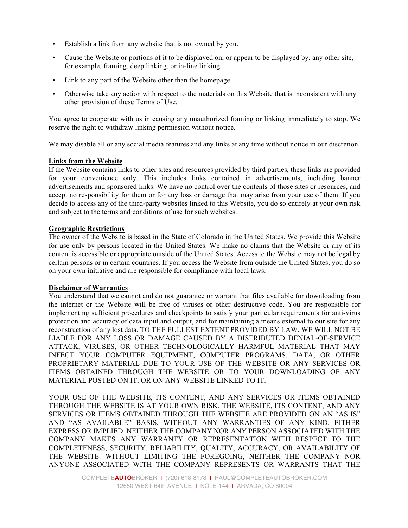- Establish a link from any website that is not owned by you.
- Cause the Website or portions of it to be displayed on, or appear to be displayed by, any other site, for example, framing, deep linking, or in-line linking.
- Link to any part of the Website other than the homepage.
- Otherwise take any action with respect to the materials on this Website that is inconsistent with any other provision of these Terms of Use.

You agree to cooperate with us in causing any unauthorized framing or linking immediately to stop. We reserve the right to withdraw linking permission without notice.

We may disable all or any social media features and any links at any time without notice in our discretion.

# **Links from the Website**

If the Website contains links to other sites and resources provided by third parties, these links are provided for your convenience only. This includes links contained in advertisements, including banner advertisements and sponsored links. We have no control over the contents of those sites or resources, and accept no responsibility for them or for any loss or damage that may arise from your use of them. If you decide to access any of the third-party websites linked to this Website, you do so entirely at your own risk and subject to the terms and conditions of use for such websites.

# **Geographic Restrictions**

The owner of the Website is based in the State of Colorado in the United States. We provide this Website for use only by persons located in the United States. We make no claims that the Website or any of its content is accessible or appropriate outside of the United States. Access to the Website may not be legal by certain persons or in certain countries. If you access the Website from outside the United States, you do so on your own initiative and are responsible for compliance with local laws.

## **Disclaimer of Warranties**

You understand that we cannot and do not guarantee or warrant that files available for downloading from the internet or the Website will be free of viruses or other destructive code. You are responsible for implementing sufficient procedures and checkpoints to satisfy your particular requirements for anti-virus protection and accuracy of data input and output, and for maintaining a means external to our site for any reconstruction of any lost data. TO THE FULLEST EXTENT PROVIDED BY LAW, WE WILL NOT BE LIABLE FOR ANY LOSS OR DAMAGE CAUSED BY A DISTRIBUTED DENIAL-OF-SERVICE ATTACK, VIRUSES, OR OTHER TECHNOLOGICALLY HARMFUL MATERIAL THAT MAY INFECT YOUR COMPUTER EQUIPMENT, COMPUTER PROGRAMS, DATA, OR OTHER PROPRIETARY MATERIAL DUE TO YOUR USE OF THE WEBSITE OR ANY SERVICES OR ITEMS OBTAINED THROUGH THE WEBSITE OR TO YOUR DOWNLOADING OF ANY MATERIAL POSTED ON IT, OR ON ANY WEBSITE LINKED TO IT.

YOUR USE OF THE WEBSITE, ITS CONTENT, AND ANY SERVICES OR ITEMS OBTAINED THROUGH THE WEBSITE IS AT YOUR OWN RISK. THE WEBSITE, ITS CONTENT, AND ANY SERVICES OR ITEMS OBTAINED THROUGH THE WEBSITE ARE PROVIDED ON AN "AS IS" AND "AS AVAILABLE" BASIS, WITHOUT ANY WARRANTIES OF ANY KIND, EITHER EXPRESS OR IMPLIED. NEITHER THE COMPANY NOR ANY PERSON ASSOCIATED WITH THE COMPANY MAKES ANY WARRANTY OR REPRESENTATION WITH RESPECT TO THE COMPLETENESS, SECURITY, RELIABILITY, QUALITY, ACCURACY, OR AVAILABILITY OF THE WEBSITE. WITHOUT LIMITING THE FOREGOING, NEITHER THE COMPANY NOR ANYONE ASSOCIATED WITH THE COMPANY REPRESENTS OR WARRANTS THAT THE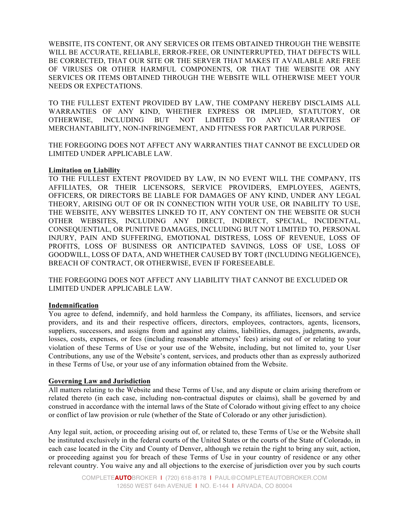WEBSITE, ITS CONTENT, OR ANY SERVICES OR ITEMS OBTAINED THROUGH THE WEBSITE WILL BE ACCURATE, RELIABLE, ERROR-FREE, OR UNINTERRUPTED, THAT DEFECTS WILL BE CORRECTED, THAT OUR SITE OR THE SERVER THAT MAKES IT AVAILABLE ARE FREE OF VIRUSES OR OTHER HARMFUL COMPONENTS, OR THAT THE WEBSITE OR ANY SERVICES OR ITEMS OBTAINED THROUGH THE WEBSITE WILL OTHERWISE MEET YOUR NEEDS OR EXPECTATIONS.

TO THE FULLEST EXTENT PROVIDED BY LAW, THE COMPANY HEREBY DISCLAIMS ALL WARRANTIES OF ANY KIND, WHETHER EXPRESS OR IMPLIED, STATUTORY, OR OTHERWISE, INCLUDING BUT NOT LIMITED TO ANY WARRANTIES OF MERCHANTABILITY, NON-INFRINGEMENT, AND FITNESS FOR PARTICULAR PURPOSE.

THE FOREGOING DOES NOT AFFECT ANY WARRANTIES THAT CANNOT BE EXCLUDED OR LIMITED UNDER APPLICABLE LAW.

### **Limitation on Liability**

TO THE FULLEST EXTENT PROVIDED BY LAW, IN NO EVENT WILL THE COMPANY, ITS AFFILIATES, OR THEIR LICENSORS, SERVICE PROVIDERS, EMPLOYEES, AGENTS, OFFICERS, OR DIRECTORS BE LIABLE FOR DAMAGES OF ANY KIND, UNDER ANY LEGAL THEORY, ARISING OUT OF OR IN CONNECTION WITH YOUR USE, OR INABILITY TO USE, THE WEBSITE, ANY WEBSITES LINKED TO IT, ANY CONTENT ON THE WEBSITE OR SUCH OTHER WEBSITES, INCLUDING ANY DIRECT, INDIRECT, SPECIAL, INCIDENTAL, CONSEQUENTIAL, OR PUNITIVE DAMAGES, INCLUDING BUT NOT LIMITED TO, PERSONAL INJURY, PAIN AND SUFFERING, EMOTIONAL DISTRESS, LOSS OF REVENUE, LOSS OF PROFITS, LOSS OF BUSINESS OR ANTICIPATED SAVINGS, LOSS OF USE, LOSS OF GOODWILL, LOSS OF DATA, AND WHETHER CAUSED BY TORT (INCLUDING NEGLIGENCE), BREACH OF CONTRACT, OR OTHERWISE, EVEN IF FORESEEABLE.

THE FOREGOING DOES NOT AFFECT ANY LIABILITY THAT CANNOT BE EXCLUDED OR LIMITED UNDER APPLICABLE LAW.

#### **Indemnification**

You agree to defend, indemnify, and hold harmless the Company, its affiliates, licensors, and service providers, and its and their respective officers, directors, employees, contractors, agents, licensors, suppliers, successors, and assigns from and against any claims, liabilities, damages, judgments, awards, losses, costs, expenses, or fees (including reasonable attorneys' fees) arising out of or relating to your violation of these Terms of Use or your use of the Website, including, but not limited to, your User Contributions, any use of the Website's content, services, and products other than as expressly authorized in these Terms of Use, or your use of any information obtained from the Website.

## **Governing Law and Jurisdiction**

All matters relating to the Website and these Terms of Use, and any dispute or claim arising therefrom or related thereto (in each case, including non-contractual disputes or claims), shall be governed by and construed in accordance with the internal laws of the State of Colorado without giving effect to any choice or conflict of law provision or rule (whether of the State of Colorado or any other jurisdiction).

Any legal suit, action, or proceeding arising out of, or related to, these Terms of Use or the Website shall be instituted exclusively in the federal courts of the United States or the courts of the State of Colorado, in each case located in the City and County of Denver, although we retain the right to bring any suit, action, or proceeding against you for breach of these Terms of Use in your country of residence or any other relevant country. You waive any and all objections to the exercise of jurisdiction over you by such courts